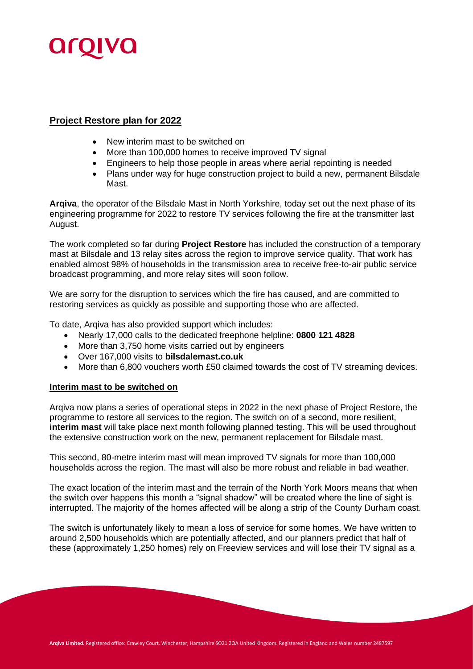

## **Project Restore plan for 2022**

- New interim mast to be switched on
- More than 100,000 homes to receive improved TV signal
- Engineers to help those people in areas where aerial repointing is needed
- Plans under way for huge construction project to build a new, permanent Bilsdale Mast.

**Arqiva**, the operator of the Bilsdale Mast in North Yorkshire, today set out the next phase of its engineering programme for 2022 to restore TV services following the fire at the transmitter last August.

The work completed so far during **Project Restore** has included the construction of a temporary mast at Bilsdale and 13 relay sites across the region to improve service quality. That work has enabled almost 98% of households in the transmission area to receive free-to-air public service broadcast programming, and more relay sites will soon follow.

We are sorry for the disruption to services which the fire has caused, and are committed to restoring services as quickly as possible and supporting those who are affected.

To date, Arqiva has also provided support which includes:

- Nearly 17,000 calls to the dedicated freephone helpline: **0800 121 4828**
- More than 3,750 home visits carried out by engineers
- Over 167,000 visits to **bilsdalemast.co.uk**
- More than 6,800 vouchers worth £50 claimed towards the cost of TV streaming devices.

## **Interim mast to be switched on**

Arqiva now plans a series of operational steps in 2022 in the next phase of Project Restore, the programme to restore all services to the region. The switch on of a second, more resilient, **interim mast** will take place next month following planned testing. This will be used throughout the extensive construction work on the new, permanent replacement for Bilsdale mast.

This second, 80-metre interim mast will mean improved TV signals for more than 100,000 households across the region. The mast will also be more robust and reliable in bad weather.

The exact location of the interim mast and the terrain of the North York Moors means that when the switch over happens this month a "signal shadow" will be created where the line of sight is interrupted. The majority of the homes affected will be along a strip of the County Durham coast.

The switch is unfortunately likely to mean a loss of service for some homes. We have written to around 2,500 households which are potentially affected, and our planners predict that half of these (approximately 1,250 homes) rely on Freeview services and will lose their TV signal as a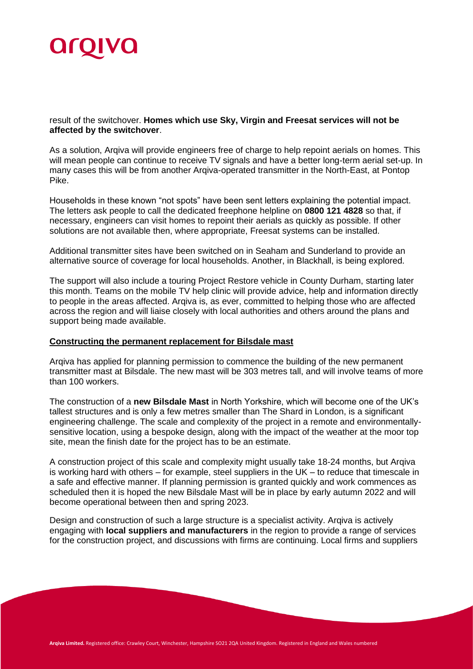

result of the switchover. **Homes which use Sky, Virgin and Freesat services will not be affected by the switchover**.

As a solution, Arqiva will provide engineers free of charge to help repoint aerials on homes. This will mean people can continue to receive TV signals and have a better long-term aerial set-up. In many cases this will be from another Arqiva-operated transmitter in the North-East, at Pontop Pike.

Households in these known "not spots" have been sent letters explaining the potential impact. The letters ask people to call the dedicated freephone helpline on **0800 121 4828** so that, if necessary, engineers can visit homes to repoint their aerials as quickly as possible. If other solutions are not available then, where appropriate, Freesat systems can be installed.

Additional transmitter sites have been switched on in Seaham and Sunderland to provide an alternative source of coverage for local households. Another, in Blackhall, is being explored.

The support will also include a touring Project Restore vehicle in County Durham, starting later this month. Teams on the mobile TV help clinic will provide advice, help and information directly to people in the areas affected. Arqiva is, as ever, committed to helping those who are affected across the region and will liaise closely with local authorities and others around the plans and support being made available.

## **Constructing the permanent replacement for Bilsdale mast**

Arqiva has applied for planning permission to commence the building of the new permanent transmitter mast at Bilsdale. The new mast will be 303 metres tall, and will involve teams of more than 100 workers.

The construction of a **new Bilsdale Mast** in North Yorkshire, which will become one of the UK's tallest structures and is only a few metres smaller than The Shard in London, is a significant engineering challenge. The scale and complexity of the project in a remote and environmentallysensitive location, using a bespoke design, along with the impact of the weather at the moor top site, mean the finish date for the project has to be an estimate.

A construction project of this scale and complexity might usually take 18-24 months, but Arqiva is working hard with others – for example, steel suppliers in the UK – to reduce that timescale in a safe and effective manner. If planning permission is granted quickly and work commences as scheduled then it is hoped the new Bilsdale Mast will be in place by early autumn 2022 and will become operational between then and spring 2023.

Design and construction of such a large structure is a specialist activity. Arqiva is actively engaging with **local suppliers and manufacturers** in the region to provide a range of services for the construction project, and discussions with firms are continuing. Local firms and suppliers